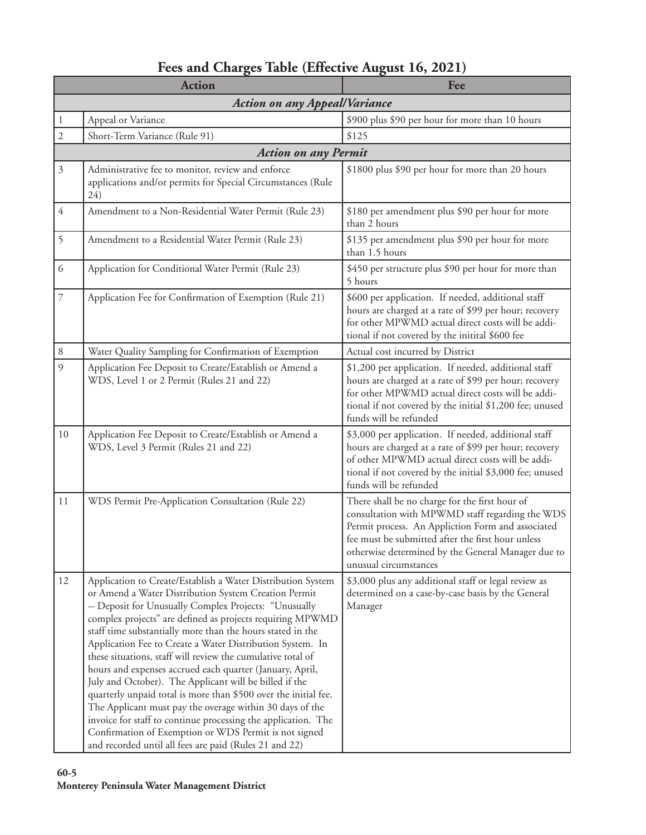| <b>Action</b>                        |                                                                                                                                                                                                                                                                                                                                                                                                                                                                                                                                                                                                                                                                                                                                                                                                                                                                              | Fee                                                                                                                                                                                                                                                                                        |  |  |
|--------------------------------------|------------------------------------------------------------------------------------------------------------------------------------------------------------------------------------------------------------------------------------------------------------------------------------------------------------------------------------------------------------------------------------------------------------------------------------------------------------------------------------------------------------------------------------------------------------------------------------------------------------------------------------------------------------------------------------------------------------------------------------------------------------------------------------------------------------------------------------------------------------------------------|--------------------------------------------------------------------------------------------------------------------------------------------------------------------------------------------------------------------------------------------------------------------------------------------|--|--|
| <b>Action on any Appeal/Variance</b> |                                                                                                                                                                                                                                                                                                                                                                                                                                                                                                                                                                                                                                                                                                                                                                                                                                                                              |                                                                                                                                                                                                                                                                                            |  |  |
| 1                                    | Appeal or Variance                                                                                                                                                                                                                                                                                                                                                                                                                                                                                                                                                                                                                                                                                                                                                                                                                                                           | \$900 plus \$90 per hour for more than 10 hours                                                                                                                                                                                                                                            |  |  |
| $\mathfrak{2}$                       | Short-Term Variance (Rule 91)                                                                                                                                                                                                                                                                                                                                                                                                                                                                                                                                                                                                                                                                                                                                                                                                                                                | \$125                                                                                                                                                                                                                                                                                      |  |  |
| <b>Action on any Permit</b>          |                                                                                                                                                                                                                                                                                                                                                                                                                                                                                                                                                                                                                                                                                                                                                                                                                                                                              |                                                                                                                                                                                                                                                                                            |  |  |
| 3                                    | Administrative fee to monitor, review and enforce<br>applications and/or permits for Special Circumstances (Rule<br>24)                                                                                                                                                                                                                                                                                                                                                                                                                                                                                                                                                                                                                                                                                                                                                      | \$1800 plus \$90 per hour for more than 20 hours                                                                                                                                                                                                                                           |  |  |
| $\overline{4}$                       | Amendment to a Non-Residential Water Permit (Rule 23)                                                                                                                                                                                                                                                                                                                                                                                                                                                                                                                                                                                                                                                                                                                                                                                                                        | \$180 per amendment plus \$90 per hour for more<br>than 2 hours                                                                                                                                                                                                                            |  |  |
| 5                                    | Amendment to a Residential Water Permit (Rule 23)                                                                                                                                                                                                                                                                                                                                                                                                                                                                                                                                                                                                                                                                                                                                                                                                                            | \$135 per amendment plus \$90 per hour for more<br>than 1.5 hours                                                                                                                                                                                                                          |  |  |
| 6                                    | Application for Conditional Water Permit (Rule 23)                                                                                                                                                                                                                                                                                                                                                                                                                                                                                                                                                                                                                                                                                                                                                                                                                           | \$450 per structure plus \$90 per hour for more than<br>5 hours                                                                                                                                                                                                                            |  |  |
| 7                                    | Application Fee for Confirmation of Exemption (Rule 21)                                                                                                                                                                                                                                                                                                                                                                                                                                                                                                                                                                                                                                                                                                                                                                                                                      | \$600 per application. If needed, additional staff<br>hours are charged at a rate of \$99 per hour; recovery<br>for other MPWMD actual direct costs will be addi-<br>tional if not covered by the initital \$600 fee                                                                       |  |  |
| 8                                    | Water Quality Sampling for Confirmation of Exemption                                                                                                                                                                                                                                                                                                                                                                                                                                                                                                                                                                                                                                                                                                                                                                                                                         | Actual cost incurred by District                                                                                                                                                                                                                                                           |  |  |
| 9                                    | Application Fee Deposit to Create/Establish or Amend a<br>WDS, Level 1 or 2 Permit (Rules 21 and 22)                                                                                                                                                                                                                                                                                                                                                                                                                                                                                                                                                                                                                                                                                                                                                                         | \$1,200 per application. If needed, additional staff<br>hours are charged at a rate of \$99 per hour; recovery<br>for other MPWMD actual direct costs will be addi-<br>tional if not covered by the initial \$1,200 fee; unused<br>funds will be refunded                                  |  |  |
| 10                                   | Application Fee Deposit to Create/Establish or Amend a<br>WDS, Level 3 Permit (Rules 21 and 22)                                                                                                                                                                                                                                                                                                                                                                                                                                                                                                                                                                                                                                                                                                                                                                              | \$3,000 per application. If needed, additional staff<br>hours are charged at a rate of \$99 per hour; recovery<br>of other MPWMD actual direct costs will be addi-<br>tional if not covered by the initial \$3,000 fee; unused<br>funds will be refunded                                   |  |  |
| 11                                   | WDS Permit Pre-Application Consultation (Rule 22)                                                                                                                                                                                                                                                                                                                                                                                                                                                                                                                                                                                                                                                                                                                                                                                                                            | There shall be no charge for the first hour of<br>consultation with MPWMD staff regarding the WDS<br>Permit process. An Appliction Form and associated<br>fee must be submitted after the first hour unless<br>otherwise determined by the General Manager due to<br>unusual circumstances |  |  |
| 12                                   | Application to Create/Establish a Water Distribution System<br>or Amend a Water Distribution System Creation Permit<br>-- Deposit for Unusually Complex Projects: "Unusually<br>complex projects" are defined as projects requiring MPWMD<br>staff time substantially more than the hours stated in the<br>Application Fee to Create a Water Distribution System. In<br>these situations, staff will review the cumulative total of<br>hours and expenses accrued each quarter (January, April,<br>July and October). The Applicant will be billed if the<br>quarterly unpaid total is more than \$500 over the initial fee.<br>The Applicant must pay the overage within 30 days of the<br>invoice for staff to continue processing the application. The<br>Confirmation of Exemption or WDS Permit is not signed<br>and recorded until all fees are paid (Rules 21 and 22) | \$3,000 plus any additional staff or legal review as<br>determined on a case-by-case basis by the General<br>Manager                                                                                                                                                                       |  |  |

# **Fees and Charges Table (Effective August 16, 2021)**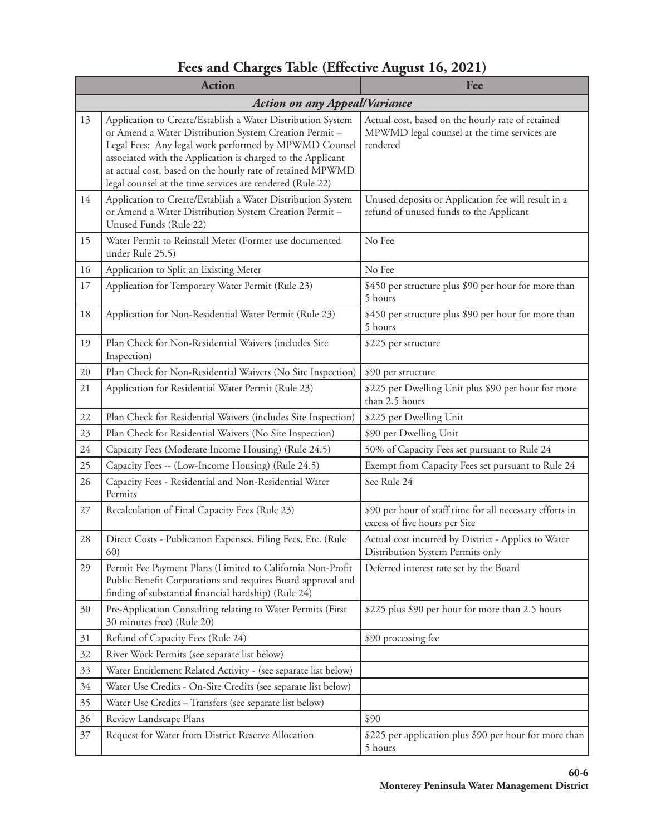#### Action **Fee** *Action on any Appeal/Variance* 13 Application to Create/Establish a Water Distribution System or Amend a Water Distribution System Creation Permit – Legal Fees: Any legal work performed by MPWMD Counsel associated with the Application is charged to the Applicant at actual cost, based on the hourly rate of retained MPWMD legal counsel at the time services are rendered (Rule 22) Actual cost, based on the hourly rate of retained MPWMD legal counsel at the time services are rendered 14 Application to Create/Establish a Water Distribution System or Amend a Water Distribution System Creation Permit – Unused Funds (Rule 22) Unused deposits or Application fee will result in a refund of unused funds to the Applicant 15 Water Permit to Reinstall Meter (Former use documented under Rule 25.5) No Fee 16 Application to Split an Existing Meter No Fee 17 Application for Temporary Water Permit (Rule 23) \$450 per structure plus \$90 per hour for more than 5 hours 18 Application for Non-Residential Water Permit (Rule 23) \$450 per structure plus \$90 per hour for more than 5 hours 19 Plan Check for Non-Residential Waivers (includes Site Inspection) \$225 per structure 20 Plan Check for Non-Residential Waivers (No Site Inspection) \$90 per structure 21 Application for Residential Water Permit (Rule 23) \$225 per Dwelling Unit plus \$90 per hour for more than 2.5 hours 22 Plan Check for Residential Waivers (includes Site Inspection) \$225 per Dwelling Unit 23 Plan Check for Residential Waivers (No Site Inspection) \$90 per Dwelling Unit 24 Capacity Fees (Moderate Income Housing) (Rule 24.5) 50% of Capacity Fees set pursuant to Rule 24 25 Capacity Fees -- (Low-Income Housing) (Rule 24.5) Exempt from Capacity Fees set pursuant to Rule 24 26 Capacity Fees - Residential and Non-Residential Water Permits See Rule 24 27 Recalculation of Final Capacity Fees (Rule 23) \$90 per hour of staff time for all necessary efforts in excess of five hours per Site 28 | Direct Costs - Publication Expenses, Filing Fees, Etc. (Rule 60) Actual cost incurred by District - Applies to Water Distribution System Permits only 29 Permit Fee Payment Plans (Limited to California Non-Profit Public Benefit Corporations and requires Board approval and finding of substantial financial hardship) (Rule 24) Deferred interest rate set by the Board 30 Pre-Application Consulting relating to Water Permits (First 30 minutes free) (Rule 20) \$225 plus \$90 per hour for more than 2.5 hours 31 Refund of Capacity Fees (Rule 24) 890 processing fee 32 River Work Permits (see separate list below) 33 Water Entitlement Related Activity - (see separate list below) 34 Water Use Credits - On-Site Credits (see separate list below) 35 Water Use Credits – Transfers (see separate list below) 36 Review Landscape Plans \$90 37 Request for Water from District Reserve Allocation \$225 per application plus \$90 per hour for more than 5 hours

### **Fees and Charges Table (Effective August 16, 2021)**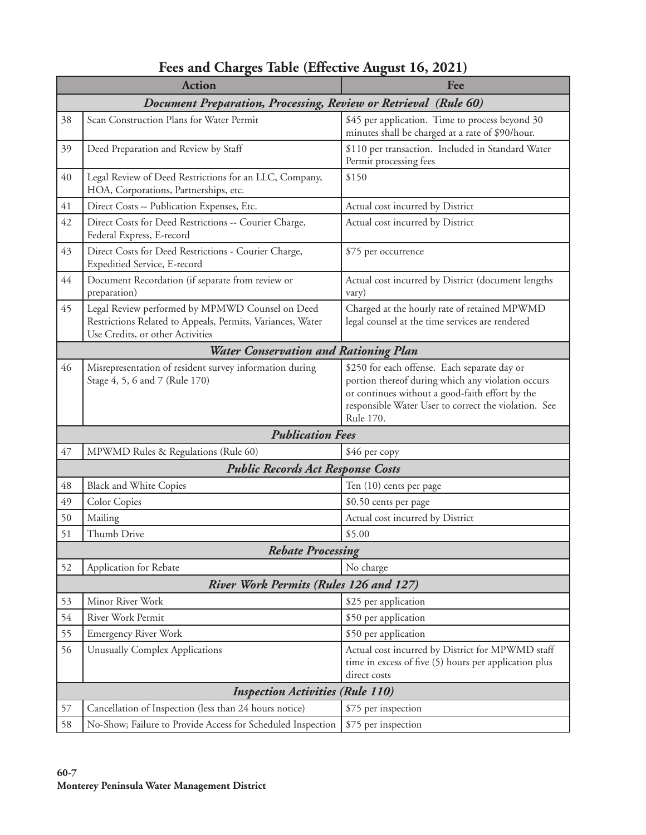| <b>Action</b>                                                   |                                                                                                                                                   | Fee                                                                                                                                                                                                                       |  |  |  |
|-----------------------------------------------------------------|---------------------------------------------------------------------------------------------------------------------------------------------------|---------------------------------------------------------------------------------------------------------------------------------------------------------------------------------------------------------------------------|--|--|--|
| Document Preparation, Processing, Review or Retrieval (Rule 60) |                                                                                                                                                   |                                                                                                                                                                                                                           |  |  |  |
| 38                                                              | Scan Construction Plans for Water Permit                                                                                                          | \$45 per application. Time to process beyond 30<br>minutes shall be charged at a rate of \$90/hour.                                                                                                                       |  |  |  |
| 39                                                              | Deed Preparation and Review by Staff                                                                                                              | \$110 per transaction. Included in Standard Water<br>Permit processing fees                                                                                                                                               |  |  |  |
| 40                                                              | Legal Review of Deed Restrictions for an LLC, Company,<br>HOA, Corporations, Partnerships, etc.                                                   | \$150                                                                                                                                                                                                                     |  |  |  |
| 41                                                              | Direct Costs -- Publication Expenses, Etc.                                                                                                        | Actual cost incurred by District                                                                                                                                                                                          |  |  |  |
| 42                                                              | Direct Costs for Deed Restrictions -- Courier Charge,<br>Federal Express, E-record                                                                | Actual cost incurred by District                                                                                                                                                                                          |  |  |  |
| 43                                                              | Direct Costs for Deed Restrictions - Courier Charge,<br>Expeditied Service, E-record                                                              | \$75 per occurrence                                                                                                                                                                                                       |  |  |  |
| 44                                                              | Document Recordation (if separate from review or<br>preparation)                                                                                  | Actual cost incurred by District (document lengths<br>vary)                                                                                                                                                               |  |  |  |
| 45                                                              | Legal Review performed by MPMWD Counsel on Deed<br>Restrictions Related to Appeals, Permits, Variances, Water<br>Use Credits, or other Activities | Charged at the hourly rate of retained MPWMD<br>legal counsel at the time services are rendered                                                                                                                           |  |  |  |
|                                                                 | Water Conservation and Rationing Plan                                                                                                             |                                                                                                                                                                                                                           |  |  |  |
| 46                                                              | Misrepresentation of resident survey information during<br>Stage 4, 5, 6 and 7 (Rule 170)                                                         | \$250 for each offense. Each separate day or<br>portion thereof during which any violation occurs<br>or continues without a good-faith effort by the<br>responsible Water User to correct the violation. See<br>Rule 170. |  |  |  |
|                                                                 | <b>Publication Fees</b>                                                                                                                           |                                                                                                                                                                                                                           |  |  |  |
| 47                                                              | MPWMD Rules & Regulations (Rule 60)                                                                                                               | \$46 per copy                                                                                                                                                                                                             |  |  |  |
|                                                                 | <b>Public Records Act Response Costs</b>                                                                                                          |                                                                                                                                                                                                                           |  |  |  |
| 48                                                              | <b>Black and White Copies</b>                                                                                                                     | Ten (10) cents per page                                                                                                                                                                                                   |  |  |  |
| 49                                                              | Color Copies                                                                                                                                      | \$0.50 cents per page                                                                                                                                                                                                     |  |  |  |
| 50                                                              | Mailing                                                                                                                                           | Actual cost incurred by District                                                                                                                                                                                          |  |  |  |
| 51                                                              | Thumb Drive                                                                                                                                       | \$5.00                                                                                                                                                                                                                    |  |  |  |
|                                                                 | <b>Rebate Processing</b>                                                                                                                          |                                                                                                                                                                                                                           |  |  |  |
| 52                                                              | Application for Rebate                                                                                                                            | No charge                                                                                                                                                                                                                 |  |  |  |
|                                                                 | <b>River Work Permits (Rules 126 and 127)</b>                                                                                                     |                                                                                                                                                                                                                           |  |  |  |
| 53                                                              | Minor River Work                                                                                                                                  | \$25 per application                                                                                                                                                                                                      |  |  |  |
| 54                                                              | River Work Permit                                                                                                                                 | \$50 per application                                                                                                                                                                                                      |  |  |  |
| 55                                                              | <b>Emergency River Work</b>                                                                                                                       | \$50 per application                                                                                                                                                                                                      |  |  |  |
| 56                                                              | Unusually Complex Applications                                                                                                                    | Actual cost incurred by District for MPWMD staff<br>time in excess of five (5) hours per application plus<br>direct costs                                                                                                 |  |  |  |
| <b>Inspection Activities (Rule 110)</b>                         |                                                                                                                                                   |                                                                                                                                                                                                                           |  |  |  |
| 57                                                              | Cancellation of Inspection (less than 24 hours notice)                                                                                            | \$75 per inspection                                                                                                                                                                                                       |  |  |  |
| 58                                                              | No-Show; Failure to Provide Access for Scheduled Inspection                                                                                       | \$75 per inspection                                                                                                                                                                                                       |  |  |  |

**Fees and Charges Table (Effective August 16, 2021)**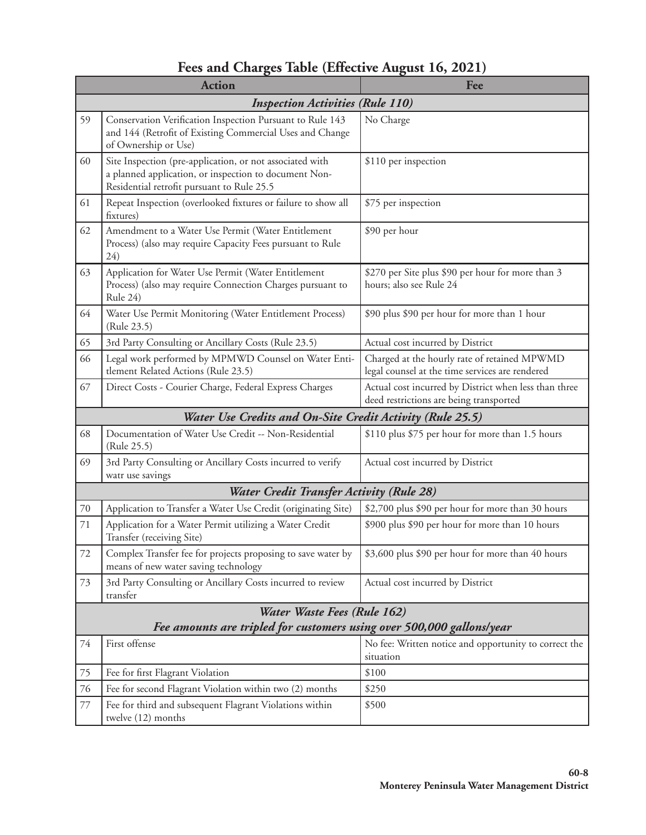|                             | <b>Action</b>                                                                                                                                                   | Fee                                                                                              |  |  |  |  |
|-----------------------------|-----------------------------------------------------------------------------------------------------------------------------------------------------------------|--------------------------------------------------------------------------------------------------|--|--|--|--|
|                             | <b>Inspection Activities (Rule 110)</b>                                                                                                                         |                                                                                                  |  |  |  |  |
| 59                          | Conservation Verification Inspection Pursuant to Rule 143<br>and 144 (Retrofit of Existing Commercial Uses and Change<br>of Ownership or Use)                   | No Charge                                                                                        |  |  |  |  |
| 60                          | Site Inspection (pre-application, or not associated with<br>a planned application, or inspection to document Non-<br>Residential retrofit pursuant to Rule 25.5 | \$110 per inspection                                                                             |  |  |  |  |
| 61                          | Repeat Inspection (overlooked fixtures or failure to show all<br>fixtures)                                                                                      | \$75 per inspection                                                                              |  |  |  |  |
| 62                          | Amendment to a Water Use Permit (Water Entitlement<br>Process) (also may require Capacity Fees pursuant to Rule<br>24)                                          | \$90 per hour                                                                                    |  |  |  |  |
| 63                          | Application for Water Use Permit (Water Entitlement<br>Process) (also may require Connection Charges pursuant to<br>Rule 24)                                    | \$270 per Site plus \$90 per hour for more than 3<br>hours; also see Rule 24                     |  |  |  |  |
| 64                          | Water Use Permit Monitoring (Water Entitlement Process)<br>(Rule 23.5)                                                                                          | \$90 plus \$90 per hour for more than 1 hour                                                     |  |  |  |  |
| 65                          | 3rd Party Consulting or Ancillary Costs (Rule 23.5)                                                                                                             | Actual cost incurred by District                                                                 |  |  |  |  |
| 66                          | Legal work performed by MPMWD Counsel on Water Enti-<br>tlement Related Actions (Rule 23.5)                                                                     | Charged at the hourly rate of retained MPWMD<br>legal counsel at the time services are rendered  |  |  |  |  |
| 67                          | Direct Costs - Courier Charge, Federal Express Charges                                                                                                          | Actual cost incurred by District when less than three<br>deed restrictions are being transported |  |  |  |  |
|                             | Water Use Credits and On-Site Credit Activity (Rule 25.5)                                                                                                       |                                                                                                  |  |  |  |  |
| 68                          | Documentation of Water Use Credit -- Non-Residential<br>(Rule 25.5)                                                                                             | \$110 plus \$75 per hour for more than 1.5 hours                                                 |  |  |  |  |
| 69                          | 3rd Party Consulting or Ancillary Costs incurred to verify<br>watr use savings                                                                                  | Actual cost incurred by District                                                                 |  |  |  |  |
|                             | Water Credit Transfer Activity (Rule 28)                                                                                                                        |                                                                                                  |  |  |  |  |
| $70\,$                      | Application to Transfer a Water Use Credit (originating Site)                                                                                                   | \$2,700 plus \$90 per hour for more than 30 hours                                                |  |  |  |  |
| 71                          | Application for a Water Permit utilizing a Water Credit<br>Transfer (receiving Site)                                                                            | \$900 plus \$90 per hour for more than 10 hours                                                  |  |  |  |  |
| 72                          | Complex Transfer fee for projects proposing to save water by   \$3,600 plus \$90 per hour for more than 40 hours<br>means of new water saving technology        |                                                                                                  |  |  |  |  |
| 73                          | 3rd Party Consulting or Ancillary Costs incurred to review<br>transfer                                                                                          | Actual cost incurred by District                                                                 |  |  |  |  |
| Water Waste Fees (Rule 162) |                                                                                                                                                                 |                                                                                                  |  |  |  |  |
|                             | Fee amounts are tripled for customers using over 500,000 gallons/year                                                                                           |                                                                                                  |  |  |  |  |
| 74                          | First offense                                                                                                                                                   | No fee: Written notice and opportunity to correct the<br>situation                               |  |  |  |  |
| 75                          | Fee for first Flagrant Violation                                                                                                                                | \$100                                                                                            |  |  |  |  |

\$500

76 Fee for second Flagrant Violation within two (2) months \$250

77 Fee for third and subsequent Flagrant Violations within

twelve (12) months

# **Fees and Charges Table (Effective August 16, 2021)**